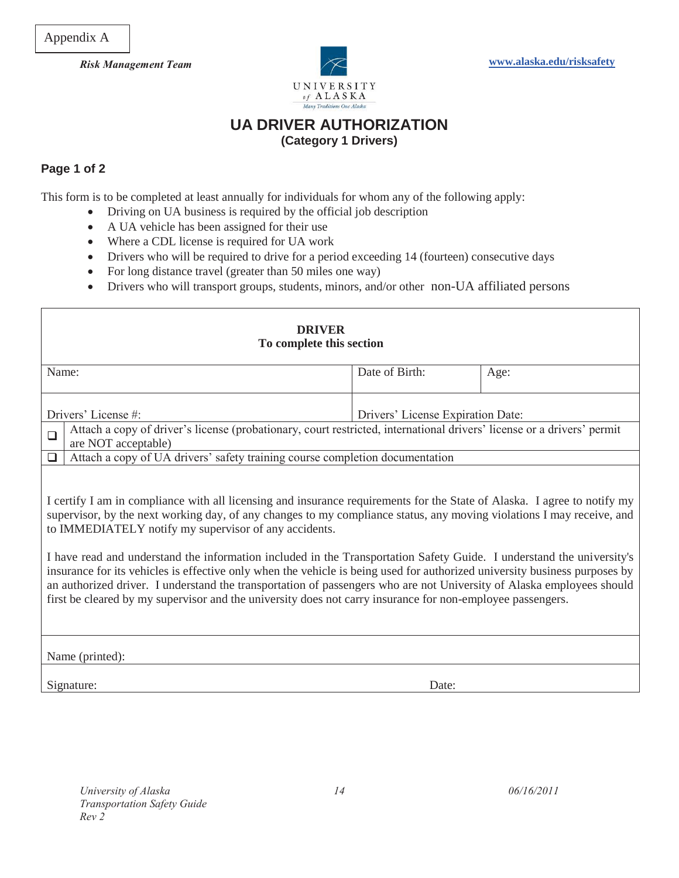

## **UA DRIVER AUTHORIZATION (Category 1 Drivers)**

## **Page 1 of 2**

This form is to be completed at least annually for individuals for whom any of the following apply:

- Driving on UA business is required by the official job description
- A UA vehicle has been assigned for their use
- Where a CDL license is required for UA work
- Drivers who will be required to drive for a period exceeding 14 (fourteen) consecutive days
- For long distance travel (greater than 50 miles one way)
- Drivers who will transport groups, students, minors, and/or other non-UA affiliated persons

| <b>DRIVER</b><br>To complete this section                                                                                                                                                                                                                                                                                                                                                                                                                                                                                                                                                                                                                                                                                                                                                                |                                                                              |                                                                                                                        |      |  |
|----------------------------------------------------------------------------------------------------------------------------------------------------------------------------------------------------------------------------------------------------------------------------------------------------------------------------------------------------------------------------------------------------------------------------------------------------------------------------------------------------------------------------------------------------------------------------------------------------------------------------------------------------------------------------------------------------------------------------------------------------------------------------------------------------------|------------------------------------------------------------------------------|------------------------------------------------------------------------------------------------------------------------|------|--|
| Name:                                                                                                                                                                                                                                                                                                                                                                                                                                                                                                                                                                                                                                                                                                                                                                                                    |                                                                              | Date of Birth:                                                                                                         | Age: |  |
| Drivers' License #:                                                                                                                                                                                                                                                                                                                                                                                                                                                                                                                                                                                                                                                                                                                                                                                      |                                                                              | Drivers' License Expiration Date:                                                                                      |      |  |
| $\Box$                                                                                                                                                                                                                                                                                                                                                                                                                                                                                                                                                                                                                                                                                                                                                                                                   | are NOT acceptable)                                                          | Attach a copy of driver's license (probationary, court restricted, international drivers' license or a drivers' permit |      |  |
| $\Box$                                                                                                                                                                                                                                                                                                                                                                                                                                                                                                                                                                                                                                                                                                                                                                                                   | Attach a copy of UA drivers' safety training course completion documentation |                                                                                                                        |      |  |
| I certify I am in compliance with all licensing and insurance requirements for the State of Alaska. I agree to notify my<br>supervisor, by the next working day, of any changes to my compliance status, any moving violations I may receive, and<br>to IMMEDIATELY notify my supervisor of any accidents.<br>I have read and understand the information included in the Transportation Safety Guide. I understand the university's<br>insurance for its vehicles is effective only when the vehicle is being used for authorized university business purposes by<br>an authorized driver. I understand the transportation of passengers who are not University of Alaska employees should<br>first be cleared by my supervisor and the university does not carry insurance for non-employee passengers. |                                                                              |                                                                                                                        |      |  |
| Name (printed):                                                                                                                                                                                                                                                                                                                                                                                                                                                                                                                                                                                                                                                                                                                                                                                          |                                                                              |                                                                                                                        |      |  |
|                                                                                                                                                                                                                                                                                                                                                                                                                                                                                                                                                                                                                                                                                                                                                                                                          | Signature:                                                                   | Date:                                                                                                                  |      |  |